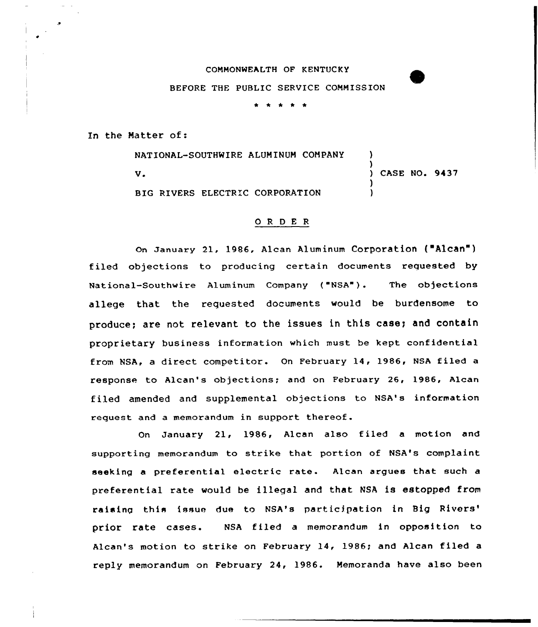## CONHONWEALTH OF KENTUCKY

## BEFORE THE PUBLIC SERVICE COMMISSION

 $\begin{array}{cccccccccccccc} A & A & A & A & A & A \end{array}$ 

In the Matter of:

NATIONAL-SOUTHWIRE ALUMINUM COMPANY 1 )<br>) CASE NO. 9437 V ) BIG RIVERS ELECTRIC CORPORATION )

## 0 <sup>R</sup> <sup>D</sup> <sup>E</sup> <sup>R</sup>

on January 21, 1986, Alcan Aluminum Corporation ("Alcan") filed objections to producing certain documents requested by National-Southwire Aluminum Company ("NSA"}. The objections allege that the requested documents would be burdensome to produce; are not relevant to the issues in this case; and contain proprietary business information which must be kept confidential from NSA, a direct competitor. On February 14, 1986, NSA filed <sup>a</sup> response to Alcan's objections; and on February 26, 1986, Alcan filed amended and supplemental objections to NSA's information request and a memorandum in support thereof.

On January 21, 1986, Alcan also filed a motion and supporting memorandum to strike that portion of NSA's complaint seeking a preferential electric rate. Alcan argues that such <sup>a</sup> preferential rate would be illegal and that NSA is estopped from raising this issue due to NSA's participation in Big prior rate cases. NSA filed a memorandum in opposition to Alcan's motion to strike on February 14, 1986; and Alcan filed a reply memorandum on February 24, 1986. Memoranda have also been